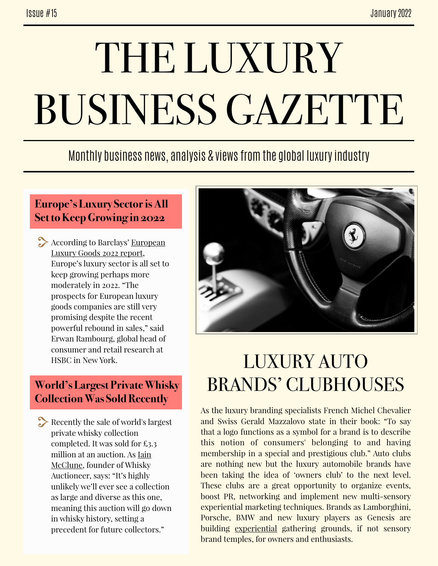# THE LUXURY BUSINESS GAZETTE

### Monthly business news, analysis & views from the global luxury industry

#### **Europe's Luxury Sector is All Set to Keep Growing in 2022**

According to Barclays' European [Luxury Goods 2022 report,](https://wwd.com/business-news/business-features/luxury-sector-outlook-europe-1235016496/) Europe's luxury sector is all set to keep growing perhaps more moderately in 2022. "The prospects for European luxury goods companies are still very promising despite the recent powerful rebound in sales," said Erwan Rambourg, global head of consumer and retail research at HSBC in New York.

#### **World's Largest Private Whisky Collection Was Sold Recently**

Recently the sale of world's largest private whisky collection completed. It was sold for £3.3 million at an auction. As [Iain](https://www.insider.co.uk/news/sale-worlds-largest-private-whisky-26029417)  [McClune](https://www.insider.co.uk/news/sale-worlds-largest-private-whisky-26029417), founder of Whisky Auctioneer, says: "It's highly unlikely we'll ever see a collection as large and diverse as this one, meaning this auction will go down in whisky history, setting a precedent for future collectors."



# LUXURY AUTO BRANDS' CLUBHOUSES

As the luxury branding specialists French Michel Chevalier and Swiss Gerald Mazzalovo state in their book: "To say that a logo functions as a symbol for a brand is to describe this notion of consumers' belonging to and having membership in a special and prestigious club." Auto clubs are nothing new but the luxury automobile brands have been taking the idea of 'owners club' to the next level. These clubs are a great opportunity to organize events, boost PR, networking and implement new multi-sensory experiential marketing techniques. Brands as Lamborghini, Porsche, BMW and new luxury players as Genesis are building [experiential](https://www.insidehook.com/article/vehicles/luxury-car-clubhouses-explained/amp) gathering grounds, if not sensory brand temples, for owners and enthusiasts.